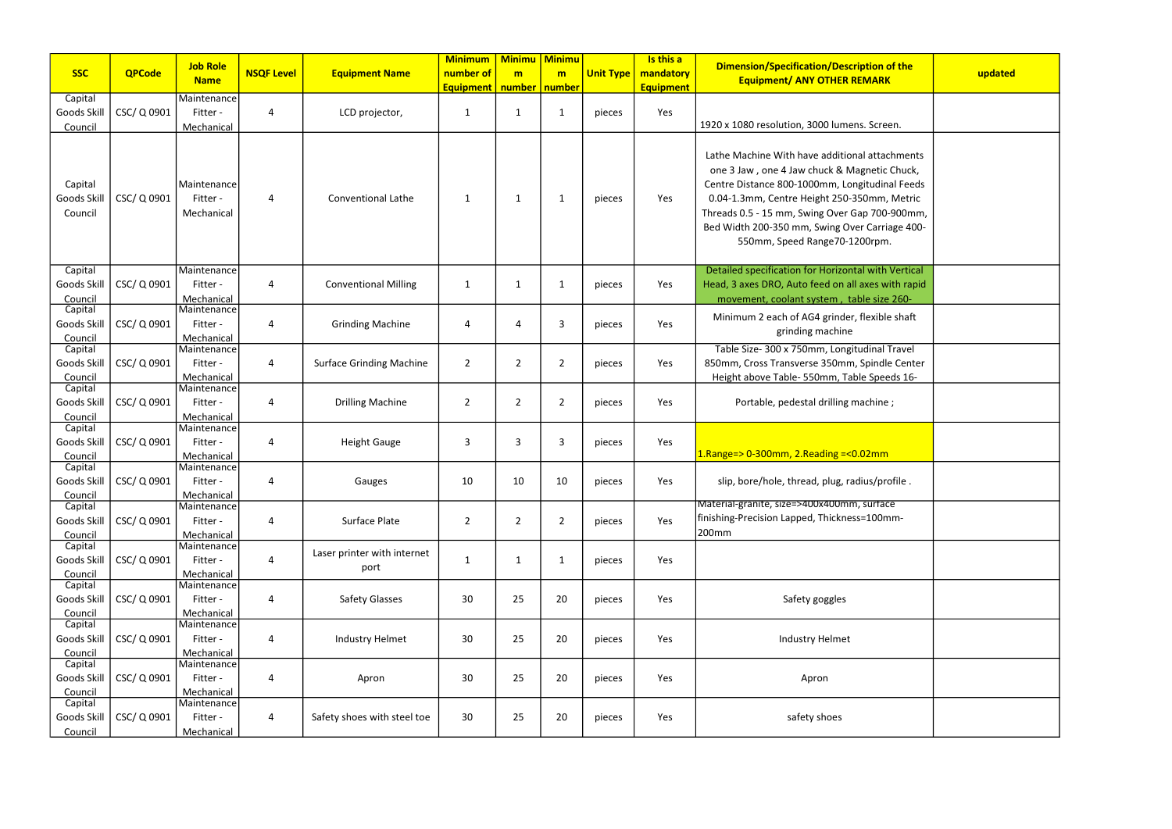| <b>SSC</b>                        | <b>QPCode</b> | <b>Job Role</b>                       | <b>NSQF Level</b> | <b>Equipment Name</b>               | <b>Minimum</b><br>number of | <b>Minimu</b><br>m | <b>Minimu</b><br>m | <b>Unit Type</b> | Is this a<br>mandatory | <b>Dimension/Specification/Description of the</b>                                                                                                                                                                                                                                                                                    | updated |
|-----------------------------------|---------------|---------------------------------------|-------------------|-------------------------------------|-----------------------------|--------------------|--------------------|------------------|------------------------|--------------------------------------------------------------------------------------------------------------------------------------------------------------------------------------------------------------------------------------------------------------------------------------------------------------------------------------|---------|
|                                   |               | <b>Name</b>                           |                   |                                     | <b>Equipment</b> number     |                    | number             |                  | <b>Equipment</b>       | <b>Equipment/ ANY OTHER REMARK</b>                                                                                                                                                                                                                                                                                                   |         |
| Capital<br>Goods Skill<br>Council | CSC/Q0901     | Maintenance<br>Fitter -<br>Mechanical | $\overline{4}$    | LCD projector,                      | $\mathbf 1$                 | 1                  | -1                 | pieces           | Yes                    | 1920 x 1080 resolution, 3000 lumens. Screen.                                                                                                                                                                                                                                                                                         |         |
| Capital<br>Goods Skill<br>Council | CSC/ Q 0901   | Maintenance<br>Fitter -<br>Mechanical | $\overline{A}$    | <b>Conventional Lathe</b>           | 1                           | 1                  | 1                  | pieces           | Yes                    | Lathe Machine With have additional attachments<br>one 3 Jaw, one 4 Jaw chuck & Magnetic Chuck,<br>Centre Distance 800-1000mm, Longitudinal Feeds<br>0.04-1.3mm, Centre Height 250-350mm, Metric<br>Threads 0.5 - 15 mm, Swing Over Gap 700-900mm,<br>Bed Width 200-350 mm, Swing Over Carriage 400-<br>550mm, Speed Range70-1200rpm. |         |
| Capital<br>Goods Skill<br>Council | CSC/Q0901     | Maintenance<br>Fitter -<br>Mechanical | 4                 | <b>Conventional Milling</b>         | 1                           | 1                  | 1                  | pieces           | Yes                    | Detailed specification for Horizontal with Vertical<br>Head, 3 axes DRO, Auto feed on all axes with rapid<br>movement, coolant system, table size 260-                                                                                                                                                                               |         |
| Capital<br>Goods Skill<br>Council | CSC/Q0901     | Maintenance<br>Fitter -<br>Mechanical | 4                 | <b>Grinding Machine</b>             | 4                           | 4                  | 3                  | pieces           | Yes                    | Minimum 2 each of AG4 grinder, flexible shaft<br>grinding machine                                                                                                                                                                                                                                                                    |         |
| Capital<br>Goods Skill<br>Council | CSC/ Q 0901   | Maintenance<br>Fitter -<br>Mechanical | $\overline{4}$    | <b>Surface Grinding Machine</b>     | $\overline{2}$              | $\overline{2}$     | 2                  | pieces           | Yes                    | Table Size- 300 x 750mm, Longitudinal Travel<br>850mm, Cross Transverse 350mm, Spindle Center<br>Height above Table- 550mm, Table Speeds 16-                                                                                                                                                                                         |         |
| Capital<br>Goods Skill<br>Council | CSC/Q 0901    | Maintenance<br>Fitter -<br>Mechanical | 4                 | <b>Drilling Machine</b>             | $\overline{2}$              | $\overline{2}$     | 2                  | pieces           | Yes                    | Portable, pedestal drilling machine;                                                                                                                                                                                                                                                                                                 |         |
| Capital<br>Goods Skill<br>Council | CSC/Q0901     | Maintenance<br>Fitter -<br>Mechanical | 4                 | <b>Height Gauge</b>                 | 3                           | 3                  | 3                  | pieces           | Yes                    | 1.Range=> 0-300mm, 2.Reading =< 0.02mm                                                                                                                                                                                                                                                                                               |         |
| Capital<br>Goods Skill<br>Council | CSC/Q0901     | Maintenance<br>Fitter -<br>Mechanical | $\overline{4}$    | Gauges                              | 10                          | 10                 | 10                 | pieces           | Yes                    | slip, bore/hole, thread, plug, radius/profile.                                                                                                                                                                                                                                                                                       |         |
| Capital<br>Goods Skill<br>Council | CSC/ Q 0901   | Maintenance<br>Fitter -<br>Mechanical | $\overline{4}$    | Surface Plate                       | $\overline{2}$              | $\overline{2}$     | $\overline{2}$     | pieces           | Yes                    | Material-granite, size=>400x400mm, surface<br>finishing-Precision Lapped, Thickness=100mm-<br>200mm                                                                                                                                                                                                                                  |         |
| Capital<br>Goods Skill<br>Council | CSC/Q0901     | Maintenance<br>Fitter -<br>Mechanical | $\overline{4}$    | Laser printer with internet<br>port | $\mathbf{1}$                | $\mathbf{1}$       | $\mathbf{1}$       | pieces           | Yes                    |                                                                                                                                                                                                                                                                                                                                      |         |
| Capital<br>Goods Skill<br>Council | CSC/ Q 0901   | Maintenance<br>Fitter -<br>Mechanical | $\overline{a}$    | <b>Safety Glasses</b>               | 30                          | 25                 | 20                 | pieces           | Yes                    | Safety goggles                                                                                                                                                                                                                                                                                                                       |         |
| Capital<br>Goods Skill<br>Council | CSC/ Q 0901   | Maintenance<br>Fitter -<br>Mechanical | $\overline{4}$    | Industry Helmet                     | 30                          | 25                 | 20                 | pieces           | Yes                    | <b>Industry Helmet</b>                                                                                                                                                                                                                                                                                                               |         |
| Capital<br>Goods Skill<br>Council | CSC/Q0901     | Maintenance<br>Fitter -<br>Mechanical | $\overline{4}$    | Apron                               | 30                          | 25                 | 20                 | pieces           | Yes                    | Apron                                                                                                                                                                                                                                                                                                                                |         |
| Capital<br>Goods Skill<br>Council | CSC/ Q 0901   | Maintenance<br>Fitter -<br>Mechanical | $\overline{a}$    | Safety shoes with steel toe         | 30                          | 25                 | 20                 | pieces           | Yes                    | safety shoes                                                                                                                                                                                                                                                                                                                         |         |

| ation/Description of the<br><b>NY OTHER REMARK</b>                                                                                                                                            | updated |
|-----------------------------------------------------------------------------------------------------------------------------------------------------------------------------------------------|---------|
| 3000 lumens. Screen.                                                                                                                                                                          |         |
| ave additional attachments<br>chuck & Magnetic Chuck,<br>000mm, Longitudinal Feeds<br>leight 250-350mm, Metric<br>wing Over Gap 700-900mm,<br>n, Swing Over Carriage 400-<br>Range70-1200rpm. |         |
| for Horizontal with Vertical<br>feed on all axes with rapid<br>system, table size 260-                                                                                                        |         |
| G4 grinder, flexible shaft<br>ng machine                                                                                                                                                      |         |
| Imm, Longitudinal Travel<br>rse 350mm, Spindle Center<br>550mm, Table Speeds 16-                                                                                                              |         |
| tal drilling machine ;                                                                                                                                                                        |         |
| Reading =<0.02mm                                                                                                                                                                              |         |
| ad, plug, radius/profile.                                                                                                                                                                     |         |
| 00x400mm, surtace<br>ed, Thickness=100mm-                                                                                                                                                     |         |
|                                                                                                                                                                                               |         |
| y goggles                                                                                                                                                                                     |         |
| ry Helmet                                                                                                                                                                                     |         |
| <b>pron</b>                                                                                                                                                                                   |         |
| ty shoes                                                                                                                                                                                      |         |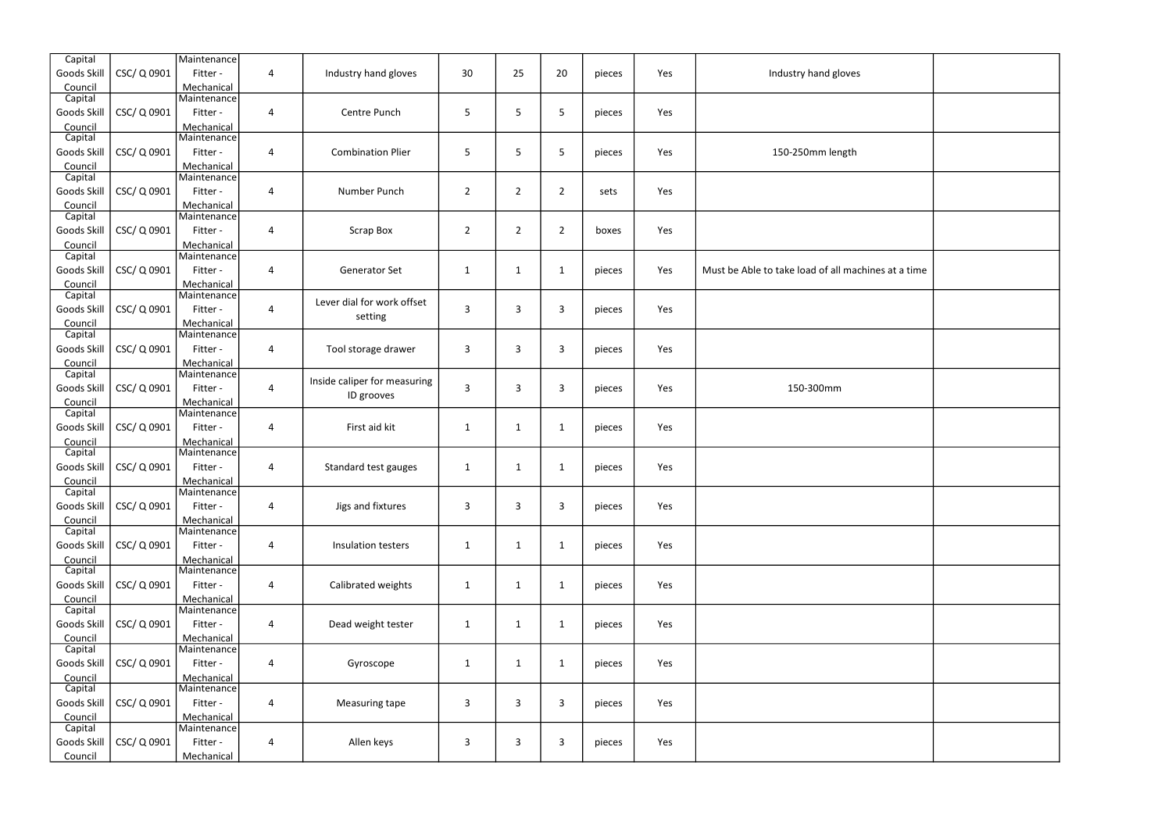| Capital            |             | Maintenance               |                         |                              |                |                |                |        |     |                                                     |  |
|--------------------|-------------|---------------------------|-------------------------|------------------------------|----------------|----------------|----------------|--------|-----|-----------------------------------------------------|--|
| Goods Skill        | CSC/Q0901   | Fitter -                  | $\overline{\mathbf{4}}$ | Industry hand gloves         | 30             | 25             | 20             | pieces | Yes | Industry hand gloves                                |  |
| Council            |             | Mechanical                |                         |                              |                |                |                |        |     |                                                     |  |
| Capital            |             | Maintenance               |                         |                              |                |                |                |        |     |                                                     |  |
| Goods Skill        | CSC/Q0901   | Fitter -                  | $\overline{\mathbf{4}}$ | Centre Punch                 | 5              | 5              | 5              | pieces | Yes |                                                     |  |
| Council            |             | Mechanical                |                         |                              |                |                |                |        |     |                                                     |  |
| Capital            |             | Maintenance               |                         |                              |                |                |                |        |     |                                                     |  |
| Goods Skill        | CSC/Q0901   | Fitter -                  | 4                       | <b>Combination Plier</b>     | 5              | 5              | 5              | pieces | Yes | 150-250mm length                                    |  |
| Council            |             | Mechanical                |                         |                              |                |                |                |        |     |                                                     |  |
| Capital            |             | Maintenance               |                         |                              |                |                |                |        |     |                                                     |  |
| Goods Skill        | CSC/Q0901   | Fitter -                  | $\overline{\mathbf{4}}$ | Number Punch                 | $\overline{2}$ | $\overline{2}$ | $\overline{2}$ | sets   | Yes |                                                     |  |
| Council            |             | Mechanical                |                         |                              |                |                |                |        |     |                                                     |  |
| Capital            |             | Maintenance               |                         |                              |                |                |                |        |     |                                                     |  |
| Goods Skill        | CSC/Q0901   | Fitter -                  | $\overline{\mathbf{4}}$ | <b>Scrap Box</b>             | $\overline{2}$ | $\overline{2}$ | $\overline{2}$ | boxes  | Yes |                                                     |  |
| Council            |             | Mechanical                |                         |                              |                |                |                |        |     |                                                     |  |
| Capital            |             | Maintenance               |                         |                              |                |                |                |        |     |                                                     |  |
| Goods Skill        | CSC/Q0901   | Fitter -                  | 4                       | Generator Set                | $\mathbf{1}$   | $\mathbf{1}$   | $\mathbf{1}$   | pieces | Yes | Must be Able to take load of all machines at a time |  |
| Council            |             | Mechanical                |                         |                              |                |                |                |        |     |                                                     |  |
| Capital            |             | Maintenance               |                         |                              |                |                |                |        |     |                                                     |  |
| Goods Skill        | CSC/ Q 0901 | Fitter -                  | 4                       | Lever dial for work offset   | $\mathsf{3}$   | $\overline{3}$ | 3              | pieces | Yes |                                                     |  |
| Council            |             | Mechanical                |                         | setting                      |                |                |                |        |     |                                                     |  |
| Capital            |             | Maintenance               |                         |                              |                |                |                |        |     |                                                     |  |
| Goods Skill        | CSC/Q0901   | Fitter -                  | $\overline{\mathbf{4}}$ | Tool storage drawer          | 3              | $\overline{3}$ | 3              | pieces | Yes |                                                     |  |
| Council            |             | Mechanical                |                         |                              |                |                |                |        |     |                                                     |  |
| Capital            |             | Maintenance               |                         |                              |                |                |                |        |     |                                                     |  |
| Goods Skill        | CSC/Q0901   | Fitter -                  | 4                       | Inside caliper for measuring | 3              | $\mathbf{3}$   | $\mathbf{3}$   | pieces | Yes | 150-300mm                                           |  |
| Council            |             | Mechanical                |                         | ID grooves                   |                |                |                |        |     |                                                     |  |
| Capital            |             | Maintenance               |                         |                              |                |                |                |        |     |                                                     |  |
| Goods Skill        | CSC/ Q 0901 | Fitter -                  | 4                       | First aid kit                | $\mathbf{1}$   | $\mathbf{1}$   | $\mathbf 1$    | pieces | Yes |                                                     |  |
| Council            |             | Mechanical                |                         |                              |                |                |                |        |     |                                                     |  |
| Capital            |             | Maintenance               |                         |                              |                |                |                |        |     |                                                     |  |
| Goods Skill        | CSC/Q0901   | Fitter -                  | 4                       | Standard test gauges         | 1              | $\mathbf{1}$   | $\mathbf{1}$   | pieces | Yes |                                                     |  |
|                    |             |                           |                         |                              |                |                |                |        |     |                                                     |  |
| Council<br>Capital |             | Mechanical<br>Maintenance |                         |                              |                |                |                |        |     |                                                     |  |
| Goods Skill        | CSC/ Q 0901 | Fitter -                  | 4                       | Jigs and fixtures            | 3              | $\overline{3}$ | $\mathbf{3}$   | pieces | Yes |                                                     |  |
|                    |             |                           |                         |                              |                |                |                |        |     |                                                     |  |
| Council<br>Capital |             | Mechanical<br>Maintenance |                         |                              |                |                |                |        |     |                                                     |  |
|                    | CSC/ Q 0901 | Fitter -                  |                         |                              |                |                |                |        |     |                                                     |  |
| Goods Skill        |             |                           | 4                       | Insulation testers           | $\mathbf{1}$   | $\mathbf{1}$   | $\mathbf{1}$   | pieces | Yes |                                                     |  |
| Council<br>Capital |             | Mechanical<br>Maintenance |                         |                              |                |                |                |        |     |                                                     |  |
|                    |             |                           |                         |                              |                |                |                |        |     |                                                     |  |
| Goods Skill        | CSC/ Q 0901 | Fitter -                  | $\overline{\mathbf{4}}$ | Calibrated weights           | $\mathbf{1}$   | $\mathbf{1}$   | $\mathbf{1}$   | pieces | Yes |                                                     |  |
| Council            |             | Mechanical                |                         |                              |                |                |                |        |     |                                                     |  |
| Capital            |             | Maintenance               |                         |                              |                |                |                |        |     |                                                     |  |
| Goods Skill        | CSC/ Q 0901 | Fitter -                  | 4                       | Dead weight tester           | $\mathbf{1}$   | $\mathbf{1}$   | $\mathbf{1}$   | pieces | Yes |                                                     |  |
| Council            |             | Mechanical                |                         |                              |                |                |                |        |     |                                                     |  |
| Capital            |             | Maintenance               |                         |                              |                |                |                |        |     |                                                     |  |
| Goods Skill        | CSC/ Q 0901 | Fitter -                  | 4                       | Gyroscope                    | $\mathbf{1}$   | $\mathbf{1}$   | $\mathbf{1}$   | pieces | Yes |                                                     |  |
| Council            |             | Mechanical                |                         |                              |                |                |                |        |     |                                                     |  |
| Capital            |             | Maintenance               |                         |                              |                |                |                |        |     |                                                     |  |
| Goods Skill        | CSC/ Q 0901 | Fitter -                  | $\overline{\mathbf{4}}$ | Measuring tape               | $\mathsf{3}$   | 3              | 3              | pieces | Yes |                                                     |  |
| Council            |             | Mechanical                |                         |                              |                |                |                |        |     |                                                     |  |
| Capital            |             | Maintenance               |                         |                              |                |                |                |        |     |                                                     |  |
| Goods Skill        | CSC/ Q 0901 | Fitter -                  | 4                       | Allen keys                   | 3              | 3              | $\mathsf{3}$   | pieces | Yes |                                                     |  |
| Council            |             | Mechanical                |                         |                              |                |                |                |        |     |                                                     |  |

| try hand gloves                |  |
|--------------------------------|--|
|                                |  |
| 250mm length                   |  |
|                                |  |
|                                |  |
| load of all machines at a time |  |
|                                |  |
|                                |  |
| 50-300mm                       |  |
|                                |  |
|                                |  |
|                                |  |
|                                |  |
|                                |  |
|                                |  |
|                                |  |
|                                |  |
|                                |  |
|                                |  |